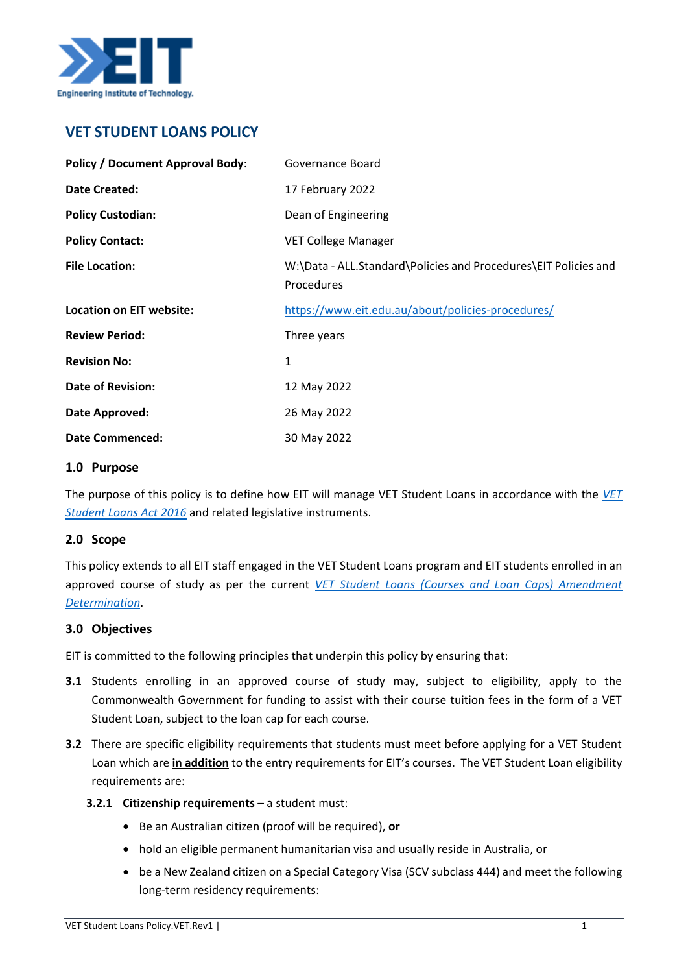

# **VET STUDENT LOANS POLICY**

| <b>Policy / Document Approval Body:</b> | Governance Board                                                              |
|-----------------------------------------|-------------------------------------------------------------------------------|
| <b>Date Created:</b>                    | 17 February 2022                                                              |
| <b>Policy Custodian:</b>                | Dean of Engineering                                                           |
| <b>Policy Contact:</b>                  | VET College Manager                                                           |
| <b>File Location:</b>                   | W:\Data - ALL.Standard\Policies and Procedures\EIT Policies and<br>Procedures |
| <b>Location on EIT website:</b>         | https://www.eit.edu.au/about/policies-procedures/                             |
| <b>Review Period:</b>                   | Three years                                                                   |
| <b>Revision No:</b>                     | 1                                                                             |
| <b>Date of Revision:</b>                | 12 May 2022                                                                   |
| Date Approved:                          | 26 May 2022                                                                   |
| <b>Date Commenced:</b>                  | 30 May 2022                                                                   |

#### **1.0 Purpose**

The purpose of this policy is to define how EIT will manage VET Student Loans in accordance with the *[VET](https://www.legislation.gov.au/Details/C2021C00507)  [Student Loans Act 2016](https://www.legislation.gov.au/Details/C2021C00507)* and related legislative instruments.

# **2.0 Scope**

This policy extends to all EIT staff engaged in the VET Student Loans program and EIT students enrolled in an approved course of study as per the current *[VET Student Loans \(Courses and Loan Caps\) Amendment](file:///C:/Users/EdwinaRoss/AppData/Local/Microsoft/Windows/INetCache/Content.Outlook/OW5D5O6Z/VET%20Student%20Loans%20(Courses%20and%20Loan%20Caps)%20Amendment%20Determination)  [Determination](file:///C:/Users/EdwinaRoss/AppData/Local/Microsoft/Windows/INetCache/Content.Outlook/OW5D5O6Z/VET%20Student%20Loans%20(Courses%20and%20Loan%20Caps)%20Amendment%20Determination)*.

# **3.0 Objectives**

EIT is committed to the following principles that underpin this policy by ensuring that:

- **3.1** Students enrolling in an approved course of study may, subject to eligibility, apply to the Commonwealth Government for funding to assist with their course tuition fees in the form of a VET Student Loan, subject to the loan cap for each course.
- **3.2** There are specific eligibility requirements that students must meet before applying for a VET Student Loan which are **in addition** to the entry requirements for EIT's courses. The VET Student Loan eligibility requirements are:
	- **3.2.1 Citizenship requirements** a student must:
		- Be an Australian citizen (proof will be required), **or**
		- hold an eligible permanent humanitarian visa and usually reside in Australia, or
		- be a New Zealand citizen on a Special Category Visa (SCV subclass 444) and meet the following long-term residency requirements: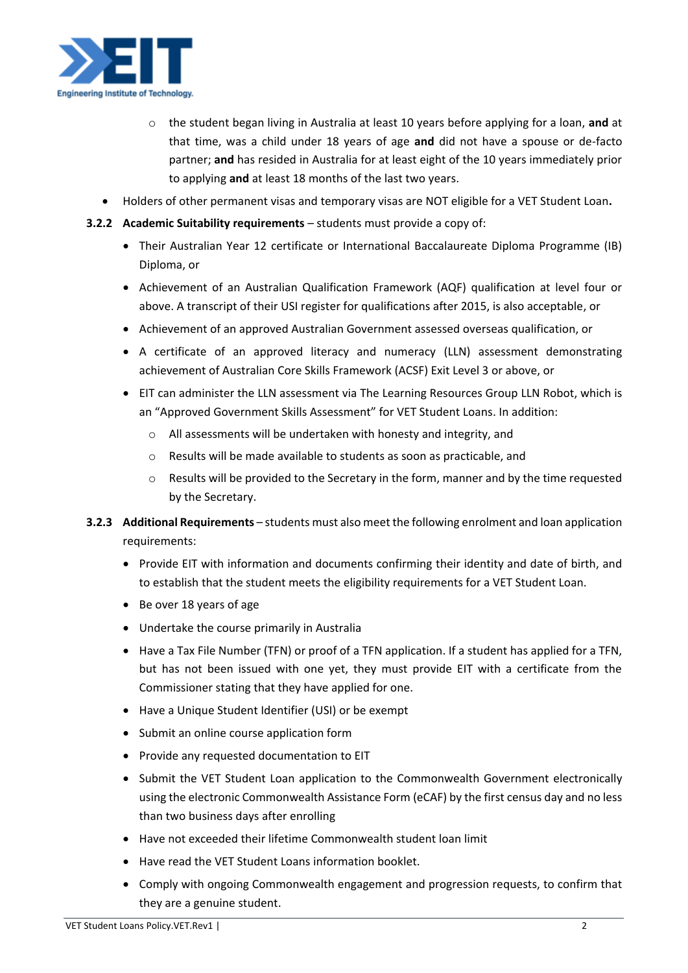

- o the student began living in Australia at least 10 years before applying for a loan, **and** at that time, was a child under 18 years of age **and** did not have a spouse or de-facto partner; **and** has resided in Australia for at least eight of the 10 years immediately prior to applying **and** at least 18 months of the last two years.
- Holders of other permanent visas and temporary visas are NOT eligible for a VET Student Loan**.**
- **3.2.2 Academic Suitability requirements** students must provide a copy of:
	- Their Australian Year 12 certificate or International Baccalaureate Diploma Programme (IB) Diploma, or
	- Achievement of an Australian Qualification Framework (AQF) qualification at level four or above. A transcript of their USI register for qualifications after 2015, is also acceptable, or
	- Achievement of an approved Australian Government assessed overseas qualification, or
	- A certificate of an approved literacy and numeracy (LLN) assessment demonstrating achievement of Australian Core Skills Framework (ACSF) Exit Level 3 or above, or
	- EIT can administer the LLN assessment via The Learning Resources Group LLN Robot, which is an "Approved Government Skills Assessment" for VET Student Loans. In addition:
		- o All assessments will be undertaken with honesty and integrity, and
		- o Results will be made available to students as soon as practicable, and
		- $\circ$  Results will be provided to the Secretary in the form, manner and by the time requested by the Secretary.
- **3.2.3 Additional Requirements** students must also meet the following enrolment and loan application requirements:
	- Provide EIT with information and documents confirming their identity and date of birth, and to establish that the student meets the eligibility requirements for a VET Student Loan.
	- Be over 18 years of age
	- Undertake the course primarily in Australia
	- Have a Tax File Number (TFN) or proof of a TFN application. If a student has applied for a TFN, but has not been issued with one yet, they must provide EIT with a certificate from the Commissioner stating that they have applied for one.
	- Have a Unique Student Identifier (USI) or be exempt
	- Submit an online course application form
	- Provide any requested documentation to EIT
	- Submit the VET Student Loan application to the Commonwealth Government electronically using the electronic Commonwealth Assistance Form (eCAF) by the first census day and no less than two business days after enrolling
	- Have not exceeded their lifetime Commonwealth student loan limit
	- Have read the VET Student Loans information booklet.
	- Comply with ongoing Commonwealth engagement and progression requests, to confirm that they are a genuine student.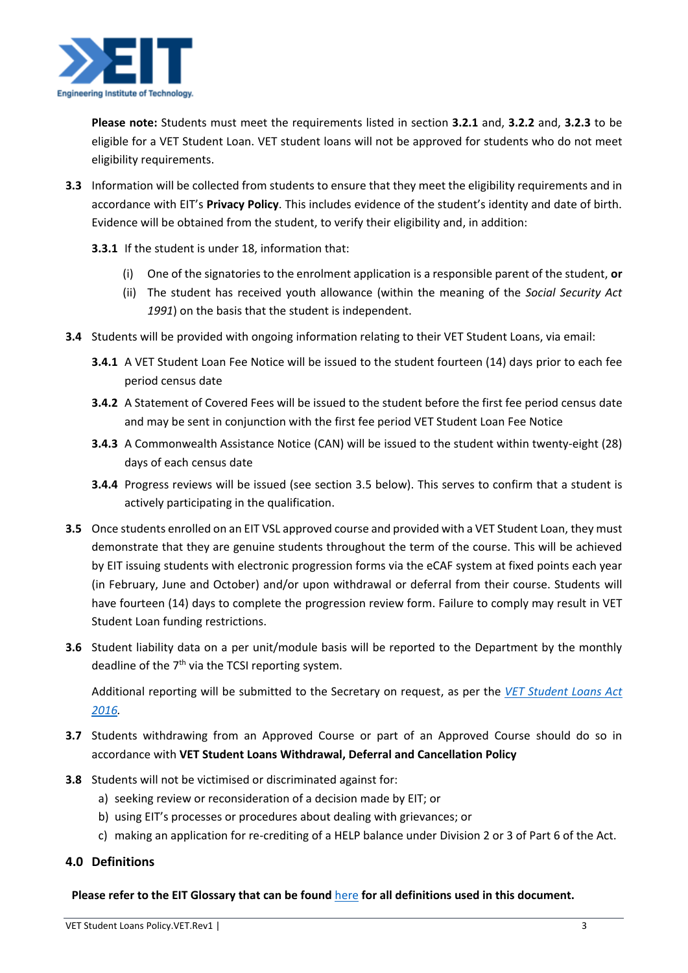

**Please note:** Students must meet the requirements listed in section **3.2.1** and, **3.2.2** and, **3.2.3** to be eligible for a VET Student Loan. VET student loans will not be approved for students who do not meet eligibility requirements.

- **3.3** Information will be collected from students to ensure that they meet the eligibility requirements and in accordance with EIT's **Privacy Policy**. This includes evidence of the student's identity and date of birth. Evidence will be obtained from the student, to verify their eligibility and, in addition:
	- **3.3.1** If the student is under 18, information that:
		- (i) One of the signatories to the enrolment application is a responsible parent of the student, **or**
		- (ii) The student has received youth allowance (within the meaning of the *Social Security Act 1991*) on the basis that the student is independent.
- **3.4** Students will be provided with ongoing information relating to their VET Student Loans, via email:
	- **3.4.1** A VET Student Loan Fee Notice will be issued to the student fourteen (14) days prior to each fee period census date
	- **3.4.2** A Statement of Covered Fees will be issued to the student before the first fee period census date and may be sent in conjunction with the first fee period VET Student Loan Fee Notice
	- **3.4.3** A Commonwealth Assistance Notice (CAN) will be issued to the student within twenty-eight (28) days of each census date
	- **3.4.4** Progress reviews will be issued (see section 3.5 below). This serves to confirm that a student is actively participating in the qualification.
- **3.5** Once students enrolled on an EIT VSL approved course and provided with a VET Student Loan, they must demonstrate that they are genuine students throughout the term of the course. This will be achieved by EIT issuing students with electronic progression forms via the eCAF system at fixed points each year (in February, June and October) and/or upon withdrawal or deferral from their course. Students will have fourteen (14) days to complete the progression review form. Failure to comply may result in VET Student Loan funding restrictions.
- **3.6** Student liability data on a per unit/module basis will be reported to the Department by the monthly deadline of the  $7<sup>th</sup>$  via the TCSI reporting system.

Additional reporting will be submitted to the Secretary on request, as per the *[VET Student Loans Act](https://www.legislation.gov.au/Details/C2021C00507)  [2016.](https://www.legislation.gov.au/Details/C2021C00507)*

- **3.7** Students withdrawing from an Approved Course or part of an Approved Course should do so in accordance with **VET Student Loans Withdrawal, Deferral and Cancellation Policy**
- **3.8** Students will not be victimised or discriminated against for:
	- a) seeking review or reconsideration of a decision made by EIT; or
	- b) using EIT's processes or procedures about dealing with grievances; or
	- c) making an application for re-crediting of a HELP balance under Division 2 or 3 of Part 6 of the Act.

# **4.0 Definitions**

#### **Please refer to the EIT Glossary that can be found** [here](https://eittraining.sharepoint.com/:b:/s/Staff-Compliance/EeBnHnTEfcRCirh1yA9kvWIBKPUOp3a2M1STwFM8CBxU3g?e=N7Oshk) **for all definitions used in this document.**